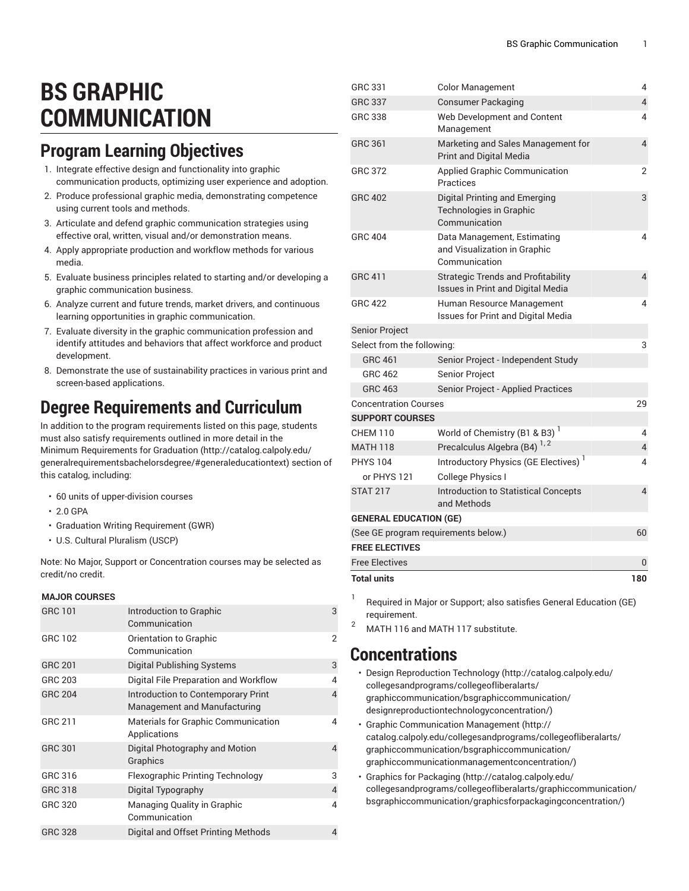# **BS GRAPHIC COMMUNICATION**

# **Program Learning Objectives**

- 1. Integrate effective design and functionality into graphic communication products, optimizing user experience and adoption.
- 2. Produce professional graphic media, demonstrating competence using current tools and methods.
- 3. Articulate and defend graphic communication strategies using effective oral, written, visual and/or demonstration means.
- 4. Apply appropriate production and workflow methods for various media.
- 5. Evaluate business principles related to starting and/or developing a graphic communication business.
- 6. Analyze current and future trends, market drivers, and continuous learning opportunities in graphic communication.
- 7. Evaluate diversity in the graphic communication profession and identify attitudes and behaviors that affect workforce and product development.
- 8. Demonstrate the use of sustainability practices in various print and screen-based applications.

# **Degree Requirements and Curriculum**

In addition to the program requirements listed on this page, students must also satisfy requirements outlined in more detail in the Minimum [Requirements](http://catalog.calpoly.edu/generalrequirementsbachelorsdegree/#generaleducationtext) for Graduation ([http://catalog.calpoly.edu/](http://catalog.calpoly.edu/generalrequirementsbachelorsdegree/#generaleducationtext) [generalrequirementsbachelorsdegree/#generaleducationtext\)](http://catalog.calpoly.edu/generalrequirementsbachelorsdegree/#generaleducationtext) section of this catalog, including:

- 60 units of upper-division courses
- 2.0 GPA
- Graduation Writing Requirement (GWR)
- U.S. Cultural Pluralism (USCP)

Note: No Major, Support or Concentration courses may be selected as credit/no credit.

#### **MAJOR COURSES**

| <b>GRC 101</b> | Introduction to Graphic<br>Communication                           | 3              |
|----------------|--------------------------------------------------------------------|----------------|
| GRC 102        | Orientation to Graphic<br>Communication                            | 2              |
| <b>GRC 201</b> | Digital Publishing Systems                                         | 3              |
| GRC 203        | Digital File Preparation and Workflow                              | 4              |
| <b>GRC 204</b> | Introduction to Contemporary Print<br>Management and Manufacturing | 4              |
| GRC 211        | <b>Materials for Graphic Communication</b><br>Applications         | 4              |
| <b>GRC 301</b> | Digital Photography and Motion<br>Graphics                         | 4              |
| GRC 316        | <b>Flexographic Printing Technology</b>                            | 3              |
| GRC 318        | Digital Typography                                                 | $\overline{4}$ |
| GRC 320        | <b>Managing Quality in Graphic</b><br>Communication                | 4              |
| <b>GRC 328</b> | Digital and Offset Printing Methods                                | 4              |

| GRC 331                               | <b>Color Management</b>                                                        | 4              |
|---------------------------------------|--------------------------------------------------------------------------------|----------------|
| <b>GRC 337</b>                        | <b>Consumer Packaging</b>                                                      | $\overline{4}$ |
| <b>GRC 338</b>                        | Web Development and Content<br>Management                                      | 4              |
| GRC 361                               | Marketing and Sales Management for<br>Print and Digital Media                  | 4              |
| <b>GRC 372</b>                        | Applied Graphic Communication<br><b>Practices</b>                              | $\overline{2}$ |
| <b>GRC 402</b>                        | Digital Printing and Emerging<br>Technologies in Graphic<br>Communication      | 3              |
| <b>GRC 404</b>                        | Data Management, Estimating<br>and Visualization in Graphic<br>Communication   | 4              |
| <b>GRC 411</b>                        | <b>Strategic Trends and Profitability</b><br>Issues in Print and Digital Media | 4              |
| <b>GRC 422</b>                        | Human Resource Management<br>Issues for Print and Digital Media                | 4              |
| Senior Project                        |                                                                                |                |
| Select from the following:            |                                                                                | 3              |
| GRC 461                               | Senior Project - Independent Study                                             |                |
| <b>GRC 462</b>                        | Senior Project                                                                 |                |
| <b>GRC 463</b>                        | Senior Project - Applied Practices                                             |                |
| <b>Concentration Courses</b>          |                                                                                | 29             |
| <b>SUPPORT COURSES</b>                |                                                                                |                |
| <b>CHEM 110</b>                       | World of Chemistry (B1 & B3) <sup>1</sup>                                      | 4              |
| <b>MATH 118</b>                       | Precalculus Algebra (B4) <sup>1,2</sup>                                        | 4              |
| <b>PHYS 104</b>                       | Introductory Physics (GE Electives) <sup>1</sup>                               | 4              |
| or PHYS 121                           | College Physics I                                                              |                |
| <b>STAT 217</b>                       | Introduction to Statistical Concepts<br>and Methods                            | $\overline{4}$ |
| <b>GENERAL EDUCATION (GE)</b>         |                                                                                |                |
|                                       | (See GE program requirements below.)                                           | 60             |
| <b>FREE ELECTIVES</b>                 |                                                                                |                |
| <b>Free Electives</b>                 |                                                                                | 0              |
| <b>Total units</b>                    |                                                                                | 180            |
| L<br>the contract of the state of the | $\mathbf{r}$                                                                   | $(0 - 1)$      |

Required in Major or Support; also satisfies General Education (GE) requirement.

<sup>2</sup> MATH 116 and MATH 117 substitute.

### **Concentrations**

- Design [Reproduction](http://catalog.calpoly.edu/collegesandprograms/collegeofliberalarts/graphiccommunication/bsgraphiccommunication/designreproductiontechnologyconcentration/) Technology ([http://catalog.calpoly.edu/](http://catalog.calpoly.edu/collegesandprograms/collegeofliberalarts/graphiccommunication/bsgraphiccommunication/designreproductiontechnologyconcentration/) [collegesandprograms/collegeofliberalarts/](http://catalog.calpoly.edu/collegesandprograms/collegeofliberalarts/graphiccommunication/bsgraphiccommunication/designreproductiontechnologyconcentration/) [graphiccommunication/bsgraphiccommunication/](http://catalog.calpoly.edu/collegesandprograms/collegeofliberalarts/graphiccommunication/bsgraphiccommunication/designreproductiontechnologyconcentration/) [designreproductiontechnologyconcentration/\)](http://catalog.calpoly.edu/collegesandprograms/collegeofliberalarts/graphiccommunication/bsgraphiccommunication/designreproductiontechnologyconcentration/)
- [Graphic Communication Management](http://catalog.calpoly.edu/collegesandprograms/collegeofliberalarts/graphiccommunication/bsgraphiccommunication/graphiccommunicationmanagementconcentration/) ([http://](http://catalog.calpoly.edu/collegesandprograms/collegeofliberalarts/graphiccommunication/bsgraphiccommunication/graphiccommunicationmanagementconcentration/) [catalog.calpoly.edu/collegesandprograms/collegeofliberalarts/](http://catalog.calpoly.edu/collegesandprograms/collegeofliberalarts/graphiccommunication/bsgraphiccommunication/graphiccommunicationmanagementconcentration/) [graphiccommunication/bsgraphiccommunication/](http://catalog.calpoly.edu/collegesandprograms/collegeofliberalarts/graphiccommunication/bsgraphiccommunication/graphiccommunicationmanagementconcentration/) [graphiccommunicationmanagementconcentration/\)](http://catalog.calpoly.edu/collegesandprograms/collegeofliberalarts/graphiccommunication/bsgraphiccommunication/graphiccommunicationmanagementconcentration/)
- Graphics for [Packaging](http://catalog.calpoly.edu/collegesandprograms/collegeofliberalarts/graphiccommunication/bsgraphiccommunication/graphicsforpackagingconcentration/) ([http://catalog.calpoly.edu/](http://catalog.calpoly.edu/collegesandprograms/collegeofliberalarts/graphiccommunication/bsgraphiccommunication/graphicsforpackagingconcentration/) [collegesandprograms/collegeofliberalarts/graphiccommunication/](http://catalog.calpoly.edu/collegesandprograms/collegeofliberalarts/graphiccommunication/bsgraphiccommunication/graphicsforpackagingconcentration/) [bsgraphiccommunication/graphicsforpackagingconcentration/\)](http://catalog.calpoly.edu/collegesandprograms/collegeofliberalarts/graphiccommunication/bsgraphiccommunication/graphicsforpackagingconcentration/)